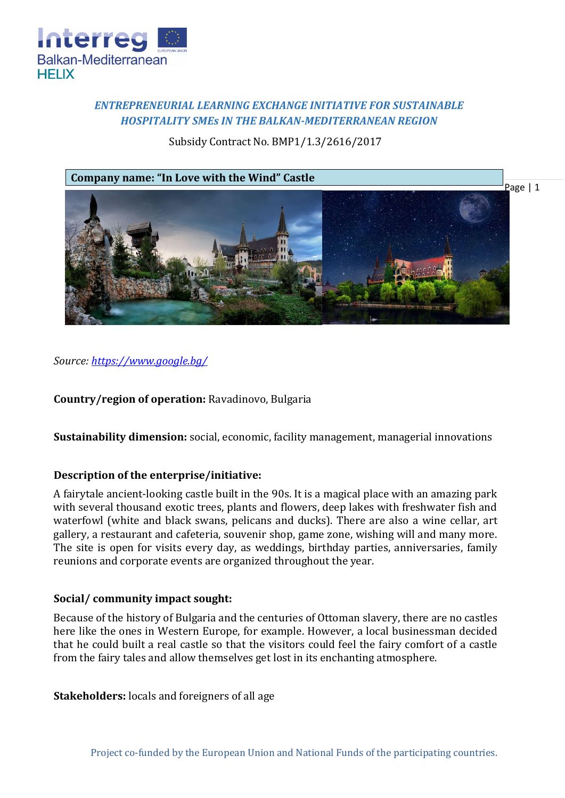

# *ENTREPRENEURIAL LEARNING EXCHANGE INITIATIVE FOR SUSTAINABLE HOSPITALITY SMEs IN THE BALKAN-MEDITERRANEAN REGION*

## Subsidy Contract No. BMP1/1.3/2616/2017



*Source: [https://www.google.bg/](https://www.google.bg/search?q=ravadinovo+castle&source=lnms&tbm=isch&sa=X&ved=0ahUKEwjo7pLk57vZAhUDhSwKHVaoBV4Q_AUICigB&biw=1440&bih=794#imgdii=Ys0BQXRWb6J5eM:&imgrc=ZRZ60vbw04Q7sM)* 

**Country/region of operation:** Ravadinovo, Bulgaria

**Sustainability dimension:** social, economic, facility management, managerial innovations

### **Description of the enterprise/initiative:**

A fairytale ancient-looking castle built in the 90s. It is a magical place with an amazing park with several thousand exotic trees, plants and flowers, deep lakes with freshwater fish and waterfowl (white and black swans, pelicans and ducks). There are also a wine cellar, art gallery, a restaurant and cafeteria, souvenir shop, game zone, wishing will and many more. The site is open for visits every day, as weddings, birthday parties, anniversaries, family reunions and corporate events are organized throughout the year.

### **Social/ community impact sought:**

Because of the history of Bulgaria and the centuries of Ottoman slavery, there are no castles here like the ones in Western Europe, for example. However, a local businessman decided that he could built a real castle so that the visitors could feel the fairy comfort of a castle from the fairy tales and allow themselves get lost in its enchanting atmosphere.

**Stakeholders:** locals and foreigners of all age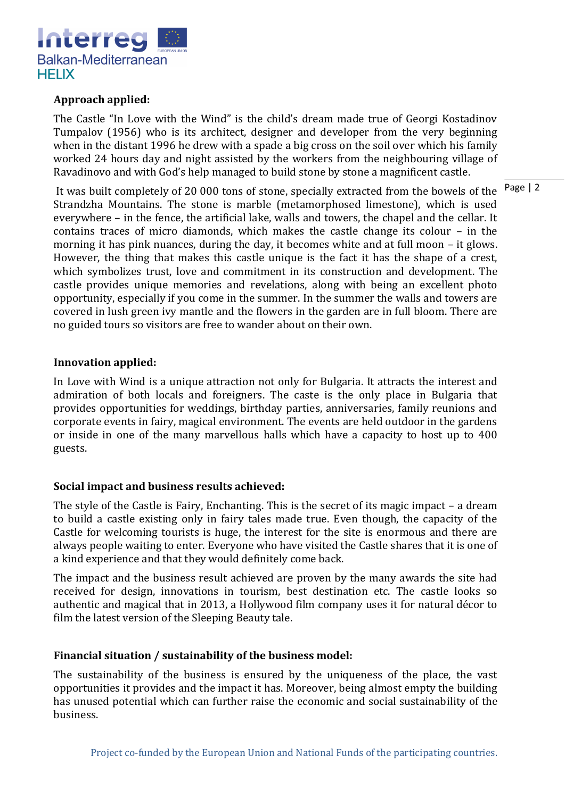

### **Approach applied:**

The Castle "In Love with the Wind" is the child's dream made true of Georgi Kostadinov Tumpalov (1956) who is its architect, designer and developer from the very beginning when in the distant 1996 he drew with a spade a big cross on the soil over which his family worked 24 hours day and night assisted by the workers from the neighbouring village of Ravadinovo and with God's help managed to build stone by stone a magnificent castle.

It was built completely of 20 000 tons of stone, specially extracted from the bowels of the <sup>Page</sup> | 2 Strandzha Mountains. The stone is marble (metamorphosed limestone), which is used everywhere – in the fence, the artificial lake, walls and towers, the chapel and the cellar. It contains traces of micro diamonds, which makes the castle change its colour – in the morning it has pink nuances, during the day, it becomes white and at full moon – it glows. However, the thing that makes this castle unique is the fact it has the shape of a crest, which symbolizes trust, love and commitment in its construction and development. The castle provides unique memories and revelations, along with being an excellent photo opportunity, especially if you come in the summer. In the summer the walls and towers are covered in lush green ivy mantle and the flowers in the garden are in full bloom. There are no guided tours so visitors are free to wander about on their own.

#### **Innovation applied:**

In Love with Wind is a unique attraction not only for Bulgaria. It attracts the interest and admiration of both locals and foreigners. The caste is the only place in Bulgaria that provides opportunities for weddings, birthday parties, anniversaries, family reunions and corporate events in fairy, magical environment. The events are held outdoor in the gardens or inside in one of the many marvellous halls which have a capacity to host up to 400 guests.

### **Social impact and business results achieved:**

The style of the Castle is Fairy, Enchanting. This is the secret of its magic impact – a dream to build a castle existing only in fairy tales made true. Even though, the capacity of the Castle for welcoming tourists is huge, the interest for the site is enormous and there are always people waiting to enter. Everyone who have visited the Castle shares that it is one of a kind experience and that they would definitely come back.

The impact and the business result achieved are proven by the many awards the site had received for design, innovations in tourism, best destination etc. The castle looks so authentic and magical that in 2013, a Hollywood film company uses it for natural décor to film the latest version of the Sleeping Beauty tale.

### **Financial situation / sustainability of the business model:**

The sustainability of the business is ensured by the uniqueness of the place, the vast opportunities it provides and the impact it has. Moreover, being almost empty the building has unused potential which can further raise the economic and social sustainability of the business.